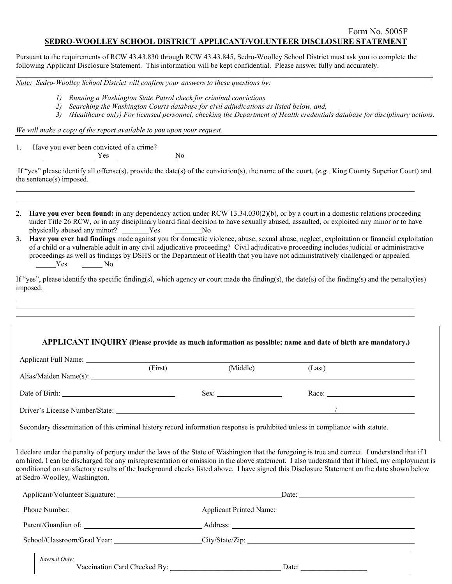## Form No. 5005F **SEDRO-WOOLLEY SCHOOL DISTRICT APPLICANT/VOLUNTEER DISCLOSURE STATEMENT**

**\_\_\_\_\_\_\_\_\_\_\_\_\_\_\_\_\_\_\_\_\_\_\_\_\_\_\_\_\_\_\_\_\_\_\_\_\_\_\_\_\_\_\_\_\_\_\_\_\_\_\_\_\_\_\_\_\_\_\_\_\_\_\_\_\_\_\_\_\_\_\_\_\_\_\_\_\_\_\_\_\_\_\_\_\_\_\_\_\_\_\_\_\_\_\_\_\_\_\_\_\_\_\_\_\_\_\_\_\_\_\_\_\_**

Pursuant to the requirements of RCW 43.43.830 through RCW 43.43.845, Sedro-Woolley School District must ask you to complete the following Applicant Disclosure Statement. This information will be kept confidential. Please answer fully and accurately.

*Note: Sedro-Woolley School District will confirm your answers to these questions by:*

- *1) Running a Washington State Patrol check for criminal convictions*
- *2) Searching the Washington Courts database for civil adjudications as listed below, and,*
- *3) (Healthcare only) For licensed personnel, checking the Department of Health credentials database for disciplinary actions.*

*We will make a copy of the report available to you upon your request.*

1. Have you ever been convicted of a crime?  $Yes$  No

> $\ddot{\phantom{a}}$ l

> l

l

If "yes" please identify all offense(s), provide the date(s) of the conviction(s), the name of the court, (*e.g.,* King County Superior Court) and the sentence(s) imposed.

- 2. **Have you ever been found:** in any dependency action under RCW 13.34.030(2)(b), or by a court in a domestic relations proceeding under Title 26 RCW, or in any disciplinary board final decision to have sexually abused, assaulted, or exploited any minor or to have physically abused any minor? \_\_\_\_\_\_Yes \_\_\_\_\_\_\_No
- 3. **Have you ever had findings** made against you for domestic violence, abuse, sexual abuse, neglect, exploitation or financial exploitation of a child or a vulnerable adult in any civil adjudicative proceeding? Civil adjudicative proceeding includes judicial or administrative proceedings as well as findings by DSHS or the Department of Health that you have not administratively challenged or appealed. Yes No

If "yes", please identify the specific finding(s), which agency or court made the finding(s), the date(s) of the finding(s) and the penalty(ies) imposed.

## **APPLICANT INQUIRY (Please provide as much information as possible; name and date of birth are mandatory.)**

| Applicant Full Name:           |         |          |        |  |  |  |
|--------------------------------|---------|----------|--------|--|--|--|
|                                | (First) | (Middle) | (Last) |  |  |  |
|                                |         |          |        |  |  |  |
| Date of Birth:                 |         | Sex:     | Race:  |  |  |  |
| Driver's License Number/State: |         |          |        |  |  |  |

Secondary dissemination of this criminal history record information response is prohibited unless in compliance with statute.

I declare under the penalty of perjury under the laws of the State of Washington that the foregoing is true and correct. I understand that if I am hired, I can be discharged for any misrepresentation or omission in the above statement. I also understand that if hired, my employment is conditioned on satisfactory results of the background checks listed above. I have signed this Disclosure Statement on the date shown below at Sedro-Woolley, Washington.

|                | Date: $\qquad \qquad$ |  |  |
|----------------|-----------------------|--|--|
|                |                       |  |  |
|                |                       |  |  |
|                |                       |  |  |
| Internal Only: | Date: $\qquad \qquad$ |  |  |